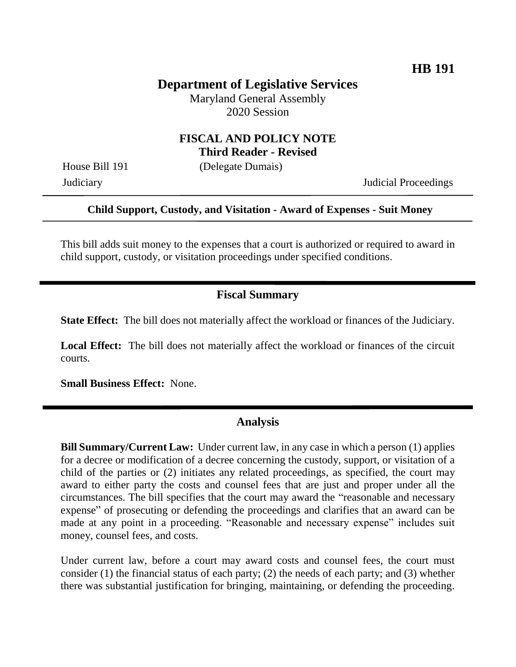# **Department of Legislative Services**

Maryland General Assembly 2020 Session

### **FISCAL AND POLICY NOTE Third Reader - Revised**

House Bill 191 (Delegate Dumais)

Judiciary Judicial Proceedings

#### **Child Support, Custody, and Visitation - Award of Expenses - Suit Money**

This bill adds suit money to the expenses that a court is authorized or required to award in child support, custody, or visitation proceedings under specified conditions.

### **Fiscal Summary**

**State Effect:** The bill does not materially affect the workload or finances of the Judiciary.

**Local Effect:** The bill does not materially affect the workload or finances of the circuit courts.

**Small Business Effect:** None.

#### **Analysis**

**Bill Summary/Current Law:** Under current law, in any case in which a person (1) applies for a decree or modification of a decree concerning the custody, support, or visitation of a child of the parties or (2) initiates any related proceedings, as specified, the court may award to either party the costs and counsel fees that are just and proper under all the circumstances. The bill specifies that the court may award the "reasonable and necessary expense" of prosecuting or defending the proceedings and clarifies that an award can be made at any point in a proceeding. "Reasonable and necessary expense" includes suit money, counsel fees, and costs.

Under current law, before a court may award costs and counsel fees, the court must consider (1) the financial status of each party; (2) the needs of each party; and (3) whether there was substantial justification for bringing, maintaining, or defending the proceeding.